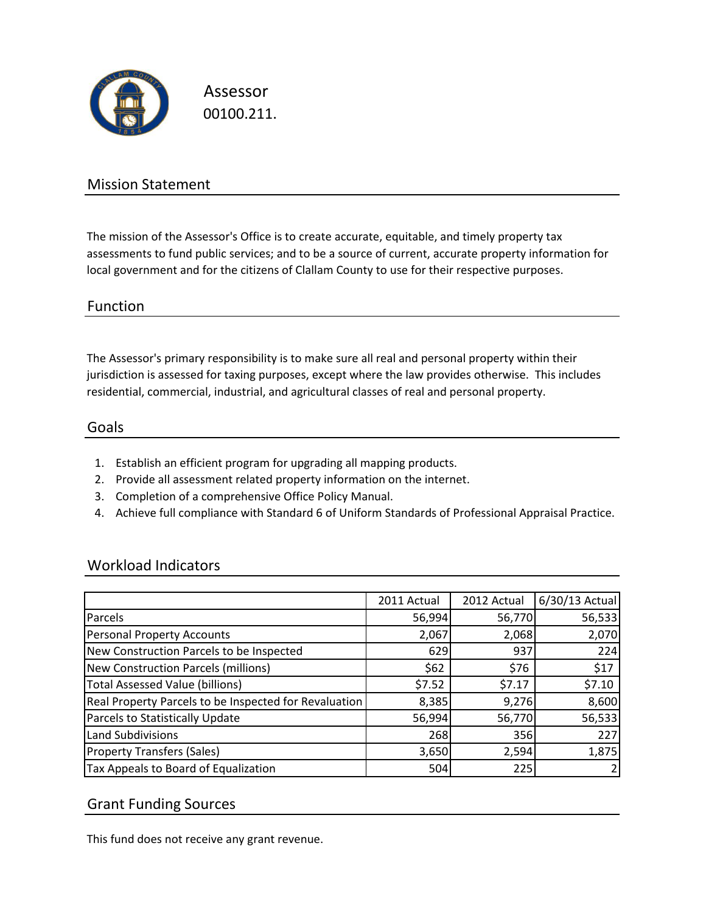

Assessor 00100.211.

### Mission Statement

The mission of the Assessor's Office is to create accurate, equitable, and timely property tax assessments to fund public services; and to be a source of current, accurate property information for local government and for the citizens of Clallam County to use for their respective purposes.

### Function

The Assessor's primary responsibility is to make sure all real and personal property within their jurisdiction is assessed for taxing purposes, except where the law provides otherwise. This includes residential, commercial, industrial, and agricultural classes of real and personal property.

#### Goals

- 1. Establish an efficient program for upgrading all mapping products.
- 2. Provide all assessment related property information on the internet.
- 3. Completion of a comprehensive Office Policy Manual.
- 4. Achieve full compliance with Standard 6 of Uniform Standards of Professional Appraisal Practice.

### Workload Indicators

|                                                       | 2011 Actual | 2012 Actual | 6/30/13 Actual |
|-------------------------------------------------------|-------------|-------------|----------------|
| Parcels                                               | 56,994      | 56,770      | 56,533         |
| <b>Personal Property Accounts</b>                     | 2,067       | 2,068       | 2,070          |
| New Construction Parcels to be Inspected              | 629         | 937         | 224            |
| <b>New Construction Parcels (millions)</b>            | \$62        | \$76        | \$17           |
| <b>Total Assessed Value (billions)</b>                | \$7.52      | \$7.17      | \$7.10         |
| Real Property Parcels to be Inspected for Revaluation | 8,385       | 9,276       | 8,600          |
| Parcels to Statistically Update                       | 56,994      | 56,770      | 56,533         |
| <b>Land Subdivisions</b>                              | 268         | 356         | 227            |
| <b>Property Transfers (Sales)</b>                     | 3,650       | 2,594       | 1,875          |
| Tax Appeals to Board of Equalization                  | 504         | 225         |                |

### Grant Funding Sources

This fund does not receive any grant revenue.